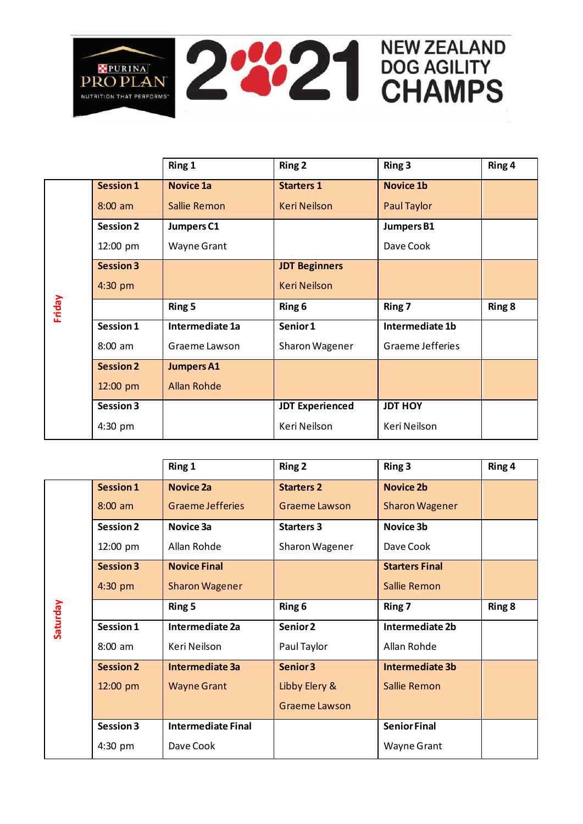

|        |                  | Ring 1             | <b>Ring 2</b>          | Ring 3            | Ring 4 |
|--------|------------------|--------------------|------------------------|-------------------|--------|
| Friday | <b>Session 1</b> | <b>Novice 1a</b>   | <b>Starters 1</b>      | <b>Novice 1b</b>  |        |
|        | $8:00$ am        | Sallie Remon       | <b>Keri Neilson</b>    | Paul Taylor       |        |
|        | <b>Session 2</b> | Jumpers C1         |                        | <b>Jumpers B1</b> |        |
|        | 12:00 pm         | <b>Wayne Grant</b> |                        | Dave Cook         |        |
|        | <b>Session 3</b> |                    | <b>JDT Beginners</b>   |                   |        |
|        | 4:30 pm          |                    | <b>Keri Neilson</b>    |                   |        |
|        |                  | Ring 5             | Ring 6                 | Ring 7            | Ring 8 |
|        | Session 1        | Intermediate 1a    | Senior 1               | Intermediate 1b   |        |
|        | $8:00$ am        | Graeme Lawson      | Sharon Wagener         | Graeme Jefferies  |        |
|        | <b>Session 2</b> | <b>Jumpers A1</b>  |                        |                   |        |
|        | 12:00 pm         | <b>Allan Rohde</b> |                        |                   |        |
|        |                  |                    |                        |                   |        |
|        | Session 3        |                    | <b>JDT Experienced</b> | <b>JDT HOY</b>    |        |

|          |                  | Ring 1                    | <b>Ring 2</b>        | Ring 3                 | Ring 4 |
|----------|------------------|---------------------------|----------------------|------------------------|--------|
| Saturday | <b>Session 1</b> | <b>Novice 2a</b>          | <b>Starters 2</b>    | <b>Novice 2b</b>       |        |
|          | $8:00$ am        | <b>Graeme Jefferies</b>   | <b>Graeme Lawson</b> | <b>Sharon Wagener</b>  |        |
|          | <b>Session 2</b> | Novice 3a                 | <b>Starters 3</b>    | Novice 3b              |        |
|          | 12:00 pm         | Allan Rohde               | Sharon Wagener       | Dave Cook              |        |
|          | <b>Session 3</b> | <b>Novice Final</b>       |                      | <b>Starters Final</b>  |        |
|          | 4:30 pm          | <b>Sharon Wagener</b>     |                      | Sallie Remon           |        |
|          |                  | Ring 5                    | Ring 6               | Ring 7                 | Ring 8 |
|          | Session 1        | Intermediate 2a           | Senior 2             | <b>Intermediate 2b</b> |        |
|          | $8:00$ am        | Keri Neilson              | Paul Taylor          | Allan Rohde            |        |
|          | <b>Session 2</b> | <b>Intermediate 3a</b>    | Senior 3             | <b>Intermediate 3b</b> |        |
|          | 12:00 pm         | <b>Wayne Grant</b>        | Libby Elery &        | <b>Sallie Remon</b>    |        |
|          |                  |                           | <b>Graeme Lawson</b> |                        |        |
|          | Session 3        | <b>Intermediate Final</b> |                      | <b>Senior Final</b>    |        |
|          | 4:30 pm          | Dave Cook                 |                      | Wayne Grant            |        |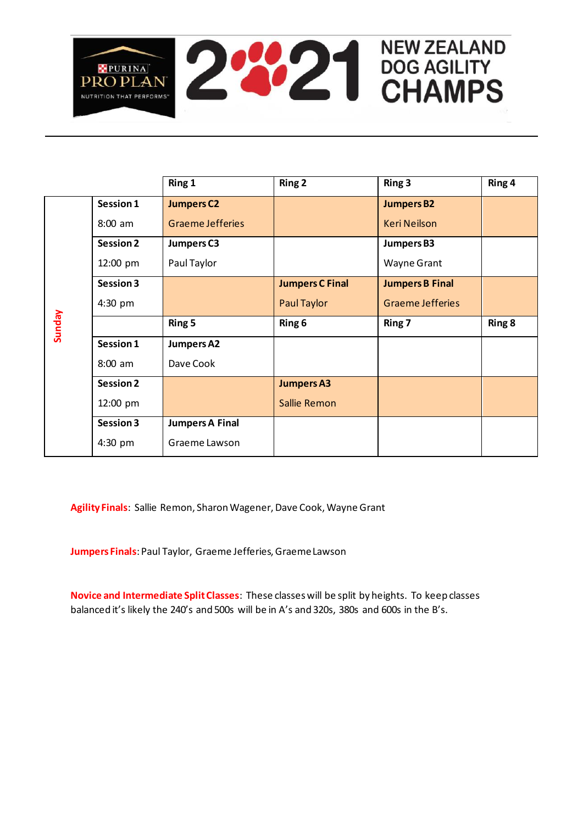

|        |                  | Ring 1                  | <b>Ring 2</b>          | Ring 3                  | Ring 4 |
|--------|------------------|-------------------------|------------------------|-------------------------|--------|
| Sunday | Session 1        | <b>Jumpers C2</b>       |                        | <b>Jumpers B2</b>       |        |
|        | $8:00$ am        | <b>Graeme Jefferies</b> |                        | <b>Keri Neilson</b>     |        |
|        | <b>Session 2</b> | Jumpers C3              |                        | <b>Jumpers B3</b>       |        |
|        | 12:00 pm         | Paul Taylor             |                        | <b>Wayne Grant</b>      |        |
|        | Session 3        |                         | <b>Jumpers C Final</b> | <b>Jumpers B Final</b>  |        |
|        | 4:30 pm          |                         | Paul Taylor            | <b>Graeme Jefferies</b> |        |
|        |                  | Ring 5                  | Ring 6                 | Ring 7                  | Ring 8 |
|        | Session 1        | <b>Jumpers A2</b>       |                        |                         |        |
|        | $8:00$ am        | Dave Cook               |                        |                         |        |
|        | <b>Session 2</b> |                         | <b>Jumpers A3</b>      |                         |        |
|        | 12:00 pm         |                         | Sallie Remon           |                         |        |
|        | Session 3        | <b>Jumpers A Final</b>  |                        |                         |        |
|        | 4:30 pm          | Graeme Lawson           |                        |                         |        |

**Agility Finals**: Sallie Remon, Sharon Wagener, Dave Cook, Wayne Grant

**Jumpers Finals**: Paul Taylor, Graeme Jefferies, Graeme Lawson

**Novice and Intermediate Split Classes**: These classes will be split by heights. To keep classes balanced it's likely the 240's and 500s will be in A's and 320s, 380s and 600s in the B's.